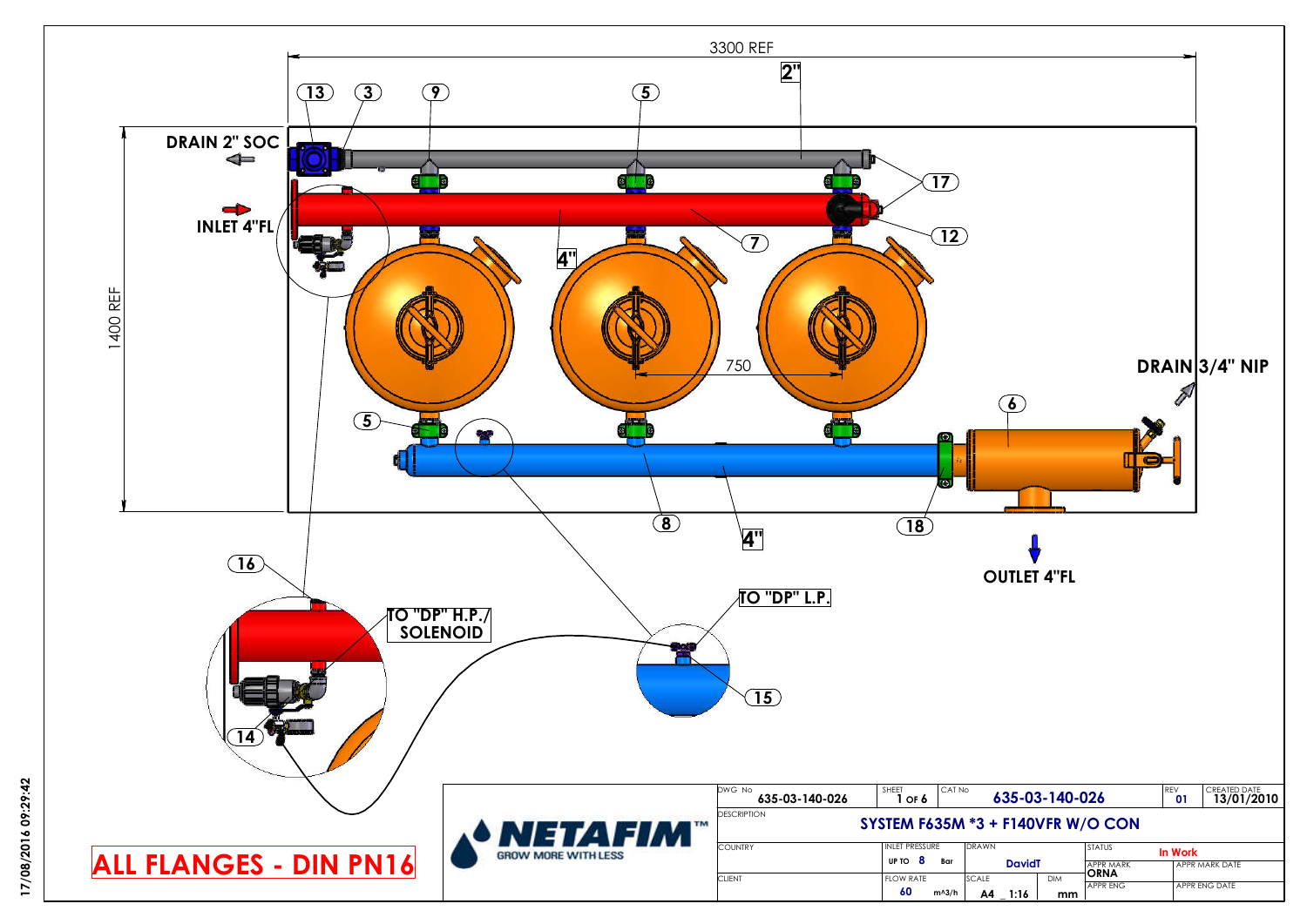

17/08/2016 09:29:42 **17/08/2016 09:29:42**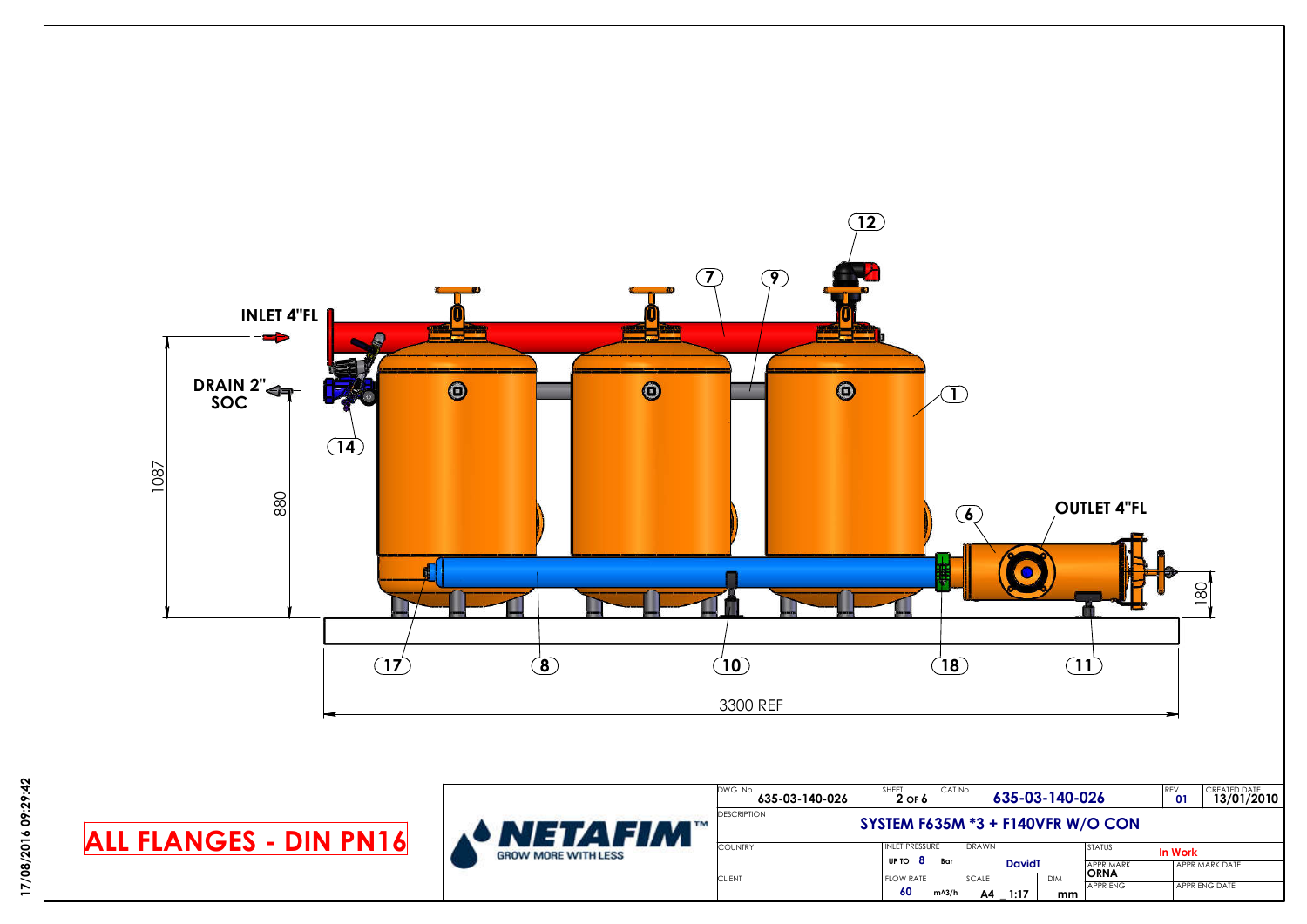

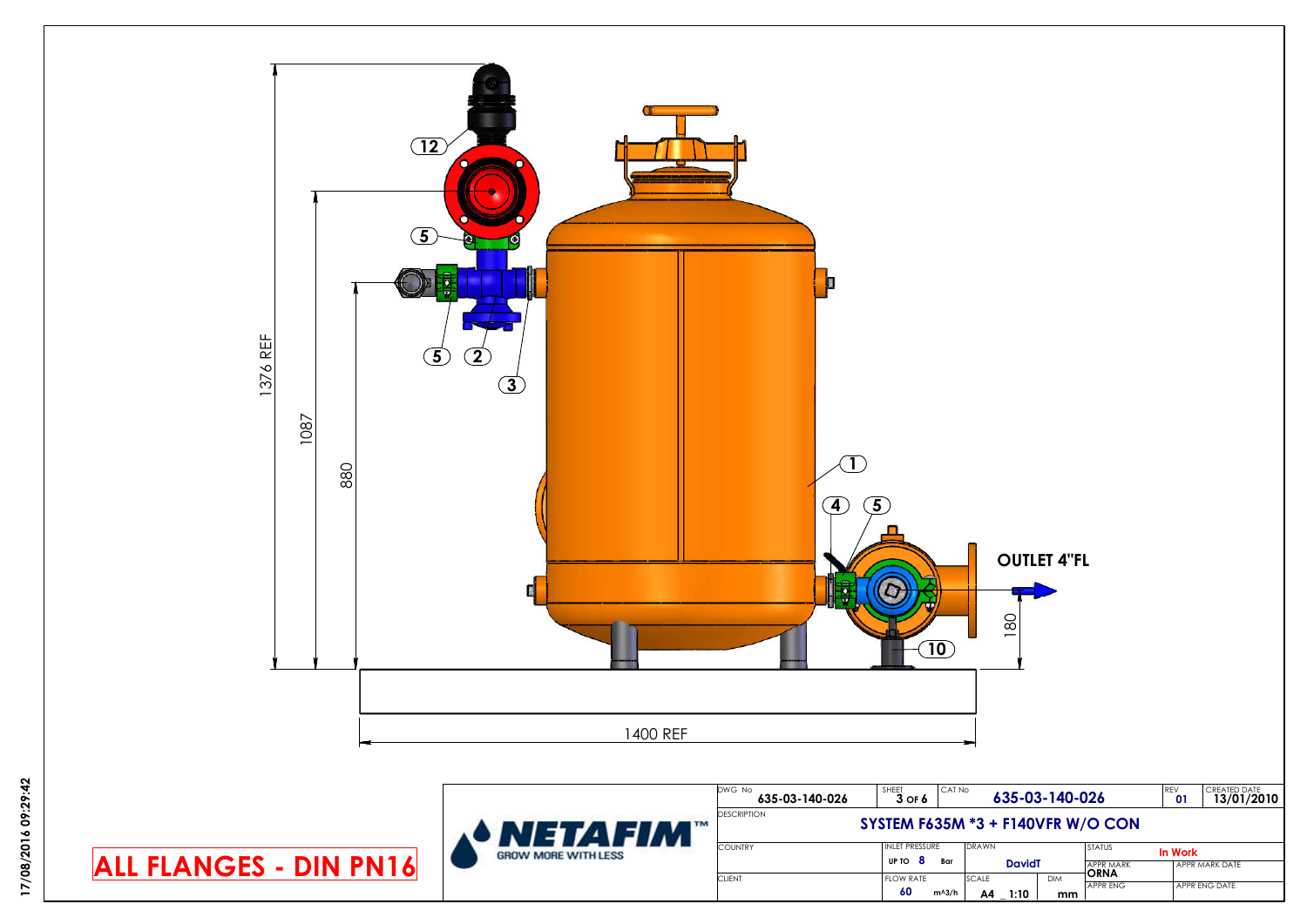